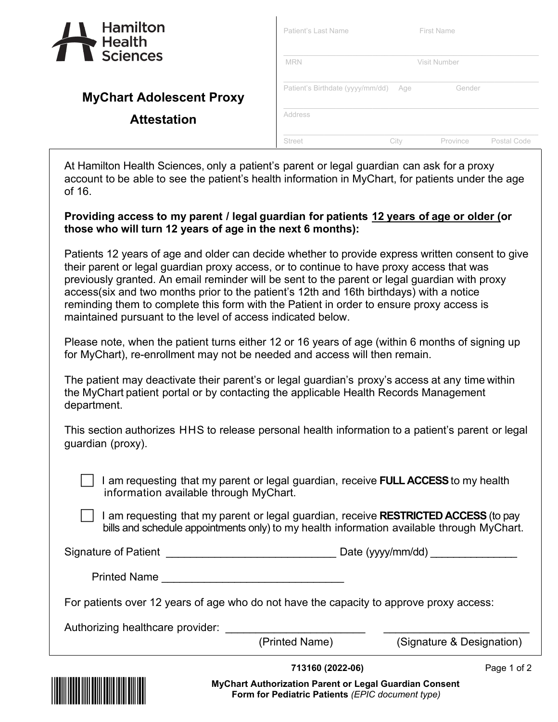

| <b>Hamilton</b><br>Health<br><b>Sciences</b> | Patient's Last Name              | <b>First Name</b> |              |             |  |
|----------------------------------------------|----------------------------------|-------------------|--------------|-------------|--|
|                                              | <b>MRN</b>                       |                   | Visit Number |             |  |
| <b>MyChart Adolescent Proxy</b>              | Patient's Birthdate (yyyy/mm/dd) | Age               | Gender       |             |  |
| <b>Attestation</b>                           | Address                          |                   |              |             |  |
|                                              | <b>Street</b>                    | Citv              | Province     | Postal Code |  |

At Hamilton Health Sciences, only a patient's parent or legal guardian can ask for a proxy account to be able to see the patient's health information in MyChart, for patients under the age of 16.

 $\mathbf{I}$ 

## **Providing access to my parent / legal guardian for patients 12 years of age or older (or those who will turn 12 years of age in the next 6 months):**

Patients 12 years of age and older can decide whether to provide express written consent to give their parent or legal guardian proxy access, or to continue to have proxy access that was previously granted. An email reminder will be sent to the parent or legal guardian with proxy access(six and two months prior to the patient's 12th and 16th birthdays) with a notice reminding them to complete this form with the Patient in order to ensure proxy access is maintained pursuant to the level of access indicated below.

Please note, when the patient turns either 12 or 16 years of age (within 6 months of signing up for MyChart), re-enrollment may not be needed and access will then remain.

The patient may deactivate their parent's or legal guardian's proxy's access at any time within the MyChart patient portal or by contacting the applicable Health Records Management department.

This section authorizes HHS to release personal health information to a patient's parent or legal guardian (proxy).

 I am requesting that my parent or legal guardian, receive **FULL ACCESS**to my health information available through MyChart.

 I am requesting that my parent or legal guardian, receive **RESTRICTED ACCESS** (to pay bills and schedule appointments only) to my health information available through MyChart.

Signature of Patient \_\_\_\_\_\_\_\_\_\_\_\_\_\_\_\_\_\_\_\_\_\_\_\_\_\_\_\_ Date (yyyy/mm/dd) \_\_\_\_\_\_\_\_\_\_\_\_\_\_\_

Printed Name \_\_\_\_\_\_\_\_\_\_\_\_\_\_\_\_\_\_\_\_\_\_\_\_\_\_\_\_\_\_

For patients over 12 years of age who do not have the capacity to approve proxy access:

Authorizing healthcare provider:

(Printed Name) (Signature & Designation)



**713160 (2022-06)** Page 1 of 2